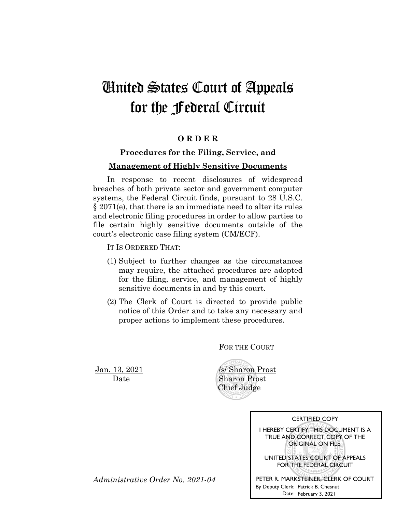# United States Court of Appeals for the Federal Circuit

#### **O R D E R**

### **Procedures for the Filing, Service, and Management of Highly Sensitive Documents**

In response to recent disclosures of widespread breaches of both private sector and government computer systems, the Federal Circuit finds, pursuant to 28 U.S.C. § 2071(e), that there is an immediate need to alter its rules and electronic filing procedures in order to allow parties to file certain highly sensitive documents outside of the court's electronic case filing system (CM/ECF).

IT IS ORDERED THAT:

- (1) Subject to further changes as the circumstances may require, the attached procedures are adopted for the filing, service, and management of highly sensitive documents in and by this court.
- (2) The Clerk of Court is directed to provide public notice of this Order and to take any necessary and proper actions to implement these procedures.

FOR THE COURT

**Jan. 13, 2021** *<i>Isl* **Sharon Prost** Date Sharon Prost Chief Judge

| <b>CERTIFIED COPY</b>                                                                                 |
|-------------------------------------------------------------------------------------------------------|
| I HEREBY CERTIFY THIS DOCUMENT IS A<br>TRUE AND CORRECT COPY OF THE<br>ORIGINAL ON FILE.              |
| UNITED STATES COURT OF APPEALS<br>FOR THE FEDERAL CIRCUIT                                             |
| PETER R. MARKSTEINER, CLERK OF COURT<br>By Deputy Clerk: Patrick B. Chesnut<br>Date: February 3, 2021 |

*Administrative Order No. 2021-04*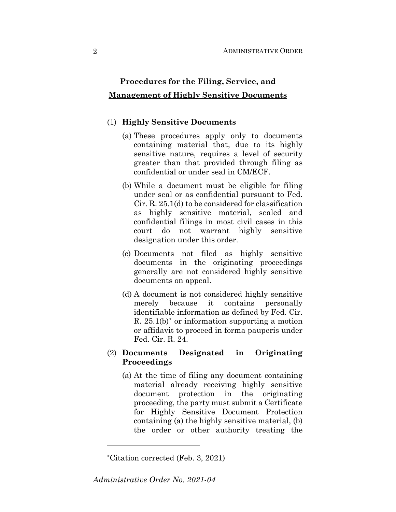## **Procedures for the Filing, Service, and Management of Highly Sensitive Documents**

#### (1) **Highly Sensitive Documents**

- (a) These procedures apply only to documents containing material that, due to its highly sensitive nature, requires a level of security greater than that provided through filing as confidential or under seal in CM/ECF.
- (b) While a document must be eligible for filing under seal or as confidential pursuant to Fed. Cir. R. 25.1(d) to be considered for classification as highly sensitive material, sealed and confidential filings in most civil cases in this court do not warrant highly sensitive designation under this order.
- (c) Documents not filed as highly sensitive documents in the originating proceedings generally are not considered highly sensitive documents on appeal.
- (d) A document is not considered highly sensitive merely because it contains personally identifiable information as defined by Fed. Cir. R.  $25.1(b)$ <sup>\*</sup> or information supporting a motion or affidavit to proceed in forma pauperis under Fed. Cir. R. 24.

#### (2) **Documents Designated in Originating Proceedings**

(a) At the time of filing any document containing material already receiving highly sensitive document protection in the originating proceeding, the party must submit a Certificate for Highly Sensitive Document Protection containing (a) the highly sensitive material, (b) the order or other authority treating the

<sup>\*</sup>Citation corrected (Feb. 3, 2021)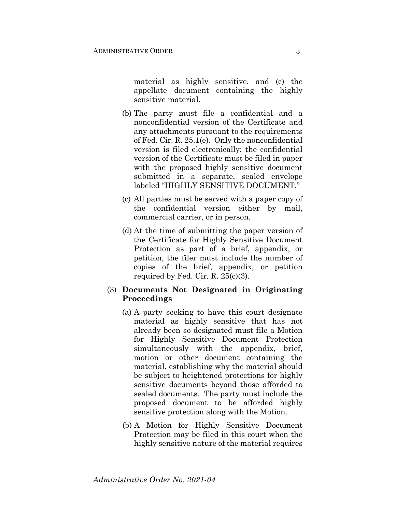material as highly sensitive, and (c) the appellate document containing the highly sensitive material.

- (b) The party must file a confidential and a nonconfidential version of the Certificate and any attachments pursuant to the requirements of Fed. Cir. R. 25.1(e). Only the nonconfidential version is filed electronically; the confidential version of the Certificate must be filed in paper with the proposed highly sensitive document submitted in a separate, sealed envelope labeled "HIGHLY SENSITIVE DOCUMENT."
- (c) All parties must be served with a paper copy of the confidential version either by mail, commercial carrier, or in person.
- (d) At the time of submitting the paper version of the Certificate for Highly Sensitive Document Protection as part of a brief, appendix, or petition, the filer must include the number of copies of the brief, appendix, or petition required by Fed. Cir. R. 25(c)(3).
- (3) **Documents Not Designated in Originating Proceedings**
	- (a) A party seeking to have this court designate material as highly sensitive that has not already been so designated must file a Motion for Highly Sensitive Document Protection simultaneously with the appendix, brief, motion or other document containing the material, establishing why the material should be subject to heightened protections for highly sensitive documents beyond those afforded to sealed documents. The party must include the proposed document to be afforded highly sensitive protection along with the Motion.
	- (b) A Motion for Highly Sensitive Document Protection may be filed in this court when the highly sensitive nature of the material requires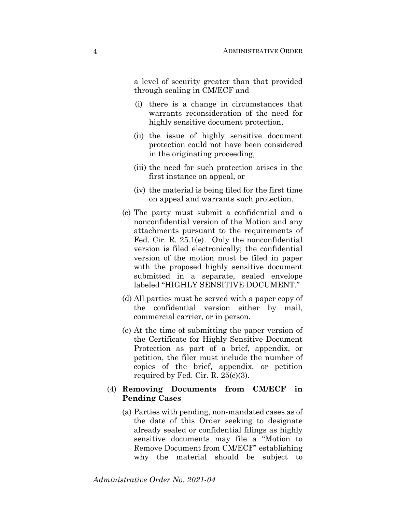a level of security greater than that provided through sealing in CM/ECF and

- (i) there is a change in circumstances that warrants reconsideration of the need for highly sensitive document protection,
- (ii) the issue of highly sensitive document protection could not have been considered in the originating proceeding,
- (iii) the need for such protection arises in the first instance on appeal, or
- (iv) the material is being filed for the first time on appeal and warrants such protection.
- (c) The party must submit a confidential and a nonconfidential version of the Motion and any attachments pursuant to the requirements of Fed. Cir. R. 25.1(e). Only the nonconfidential version is filed electronically; the confidential version of the motion must be filed in paper with the proposed highly sensitive document submitted in a separate, sealed envelope labeled "HIGHLY SENSITIVE DOCUMENT."
- (d) All parties must be served with a paper copy of the confidential version either by mail, commercial carrier, or in person.
- (e) At the time of submitting the paper version of the Certificate for Highly Sensitive Document Protection as part of a brief, appendix, or petition, the filer must include the number of copies of the brief, appendix, or petition required by Fed. Cir. R. 25(c)(3).

#### (4) **Removing Documents from CM/ECF in Pending Cases**

(a) Parties with pending, non-mandated cases as of the date of this Order seeking to designate already sealed or confidential filings as highly sensitive documents may file a "Motion to Remove Document from CM/ECF" establishing why the material should be subject to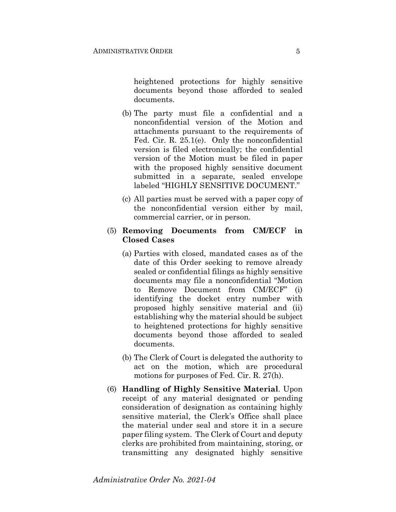heightened protections for highly sensitive documents beyond those afforded to sealed documents.

- (b) The party must file a confidential and a nonconfidential version of the Motion and attachments pursuant to the requirements of Fed. Cir. R. 25.1(e). Only the nonconfidential version is filed electronically; the confidential version of the Motion must be filed in paper with the proposed highly sensitive document submitted in a separate, sealed envelope labeled "HIGHLY SENSITIVE DOCUMENT."
- (c) All parties must be served with a paper copy of the nonconfidential version either by mail, commercial carrier, or in person.

#### (5) **Removing Documents from CM/ECF in Closed Cases**

- (a) Parties with closed, mandated cases as of the date of this Order seeking to remove already sealed or confidential filings as highly sensitive documents may file a nonconfidential "Motion to Remove Document from CM/ECF" (i) identifying the docket entry number with proposed highly sensitive material and (ii) establishing why the material should be subject to heightened protections for highly sensitive documents beyond those afforded to sealed documents.
- (b) The Clerk of Court is delegated the authority to act on the motion, which are procedural motions for purposes of Fed. Cir. R. 27(h).
- (6) **Handling of Highly Sensitive Material**. Upon receipt of any material designated or pending consideration of designation as containing highly sensitive material, the Clerk's Office shall place the material under seal and store it in a secure paper filing system. The Clerk of Court and deputy clerks are prohibited from maintaining, storing, or transmitting any designated highly sensitive